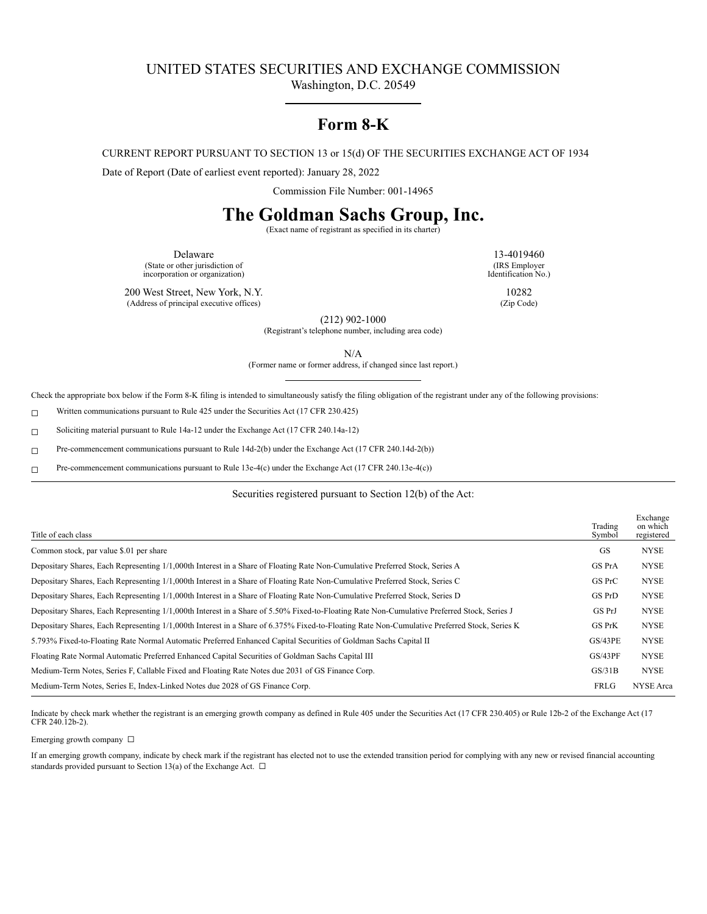# UNITED STATES SECURITIES AND EXCHANGE COMMISSION

Washington, D.C. 20549

## **Form 8-K**

CURRENT REPORT PURSUANT TO SECTION 13 or 15(d) OF THE SECURITIES EXCHANGE ACT OF 1934

Date of Report (Date of earliest event reported): January 28, 2022

Commission File Number: 001-14965

# **The Goldman Sachs Group, Inc.**

(Exact name of registrant as specified in its charter)

Delaware 13-4019460 (State or other jurisdiction of incorporation or organization)

(IRS Employer Identification No.)

200 West Street, New York, N.Y. 10282

(Address of principal executive offices) (Zip Code)

(212) 902-1000 (Registrant's telephone number, including area code)

(Former name or former address, if changed since last report.)

#### Securities registered pursuant to Section 12(b) of the Act:

| Title of each class                                                                                                                          | Trading<br>Symbol | Exchange<br>on which<br>registered |
|----------------------------------------------------------------------------------------------------------------------------------------------|-------------------|------------------------------------|
| Common stock, par value \$.01 per share                                                                                                      | GS                | <b>NYSE</b>                        |
| Depositary Shares, Each Representing 1/1,000th Interest in a Share of Floating Rate Non-Cumulative Preferred Stock, Series A                 | GS PrA            | <b>NYSE</b>                        |
| Depositary Shares, Each Representing 1/1,000th Interest in a Share of Floating Rate Non-Cumulative Preferred Stock, Series C                 | GS PrC            | <b>NYSE</b>                        |
| Depositary Shares, Each Representing 1/1,000th Interest in a Share of Floating Rate Non-Cumulative Preferred Stock, Series D                 | GS PrD            | <b>NYSE</b>                        |
| Depositary Shares, Each Representing 1/1,000th Interest in a Share of 5.50% Fixed-to-Floating Rate Non-Cumulative Preferred Stock, Series J  | GS PrJ            | <b>NYSE</b>                        |
| Depositary Shares, Each Representing 1/1,000th Interest in a Share of 6.375% Fixed-to-Floating Rate Non-Cumulative Preferred Stock, Series K | GS PrK            | <b>NYSE</b>                        |
| 5.793% Fixed-to-Floating Rate Normal Automatic Preferred Enhanced Capital Securities of Goldman Sachs Capital II                             | GS/43PE           | <b>NYSE</b>                        |
| Floating Rate Normal Automatic Preferred Enhanced Capital Securities of Goldman Sachs Capital III                                            | GS/43PF           | <b>NYSE</b>                        |
| Medium-Term Notes, Series F, Callable Fixed and Floating Rate Notes due 2031 of GS Finance Corp.                                             | GS/31B            | <b>NYSE</b>                        |
| Medium-Term Notes, Series E, Index-Linked Notes due 2028 of GS Finance Corp.                                                                 | FRLG              | <b>NYSE</b> Area                   |

Indicate by check mark whether the registrant is an emerging growth company as defined in Rule 405 under the Securities Act (17 CFR 230.405) or Rule 12b-2 of the Exchange Act (17 CFR 240.12b-2).

Emerging growth company □

If an emerging growth company, indicate by check mark if the registrant has elected not to use the extended transition period for complying with any new or revised financial accounting standards provided pursuant to Section 13(a) of the Exchange Act.  $\Box$ 

N/A

Check the appropriate box below if the Form 8-K filing is intended to simultaneously satisfy the filing obligation of the registrant under any of the following provisions:

☐ Written communications pursuant to Rule 425 under the Securities Act (17 CFR 230.425)

☐ Soliciting material pursuant to Rule 14a-12 under the Exchange Act (17 CFR 240.14a-12)

☐ Pre-commencement communications pursuant to Rule 14d-2(b) under the Exchange Act (17 CFR 240.14d-2(b))

☐ Pre-commencement communications pursuant to Rule 13e-4(c) under the Exchange Act (17 CFR 240.13e-4(c))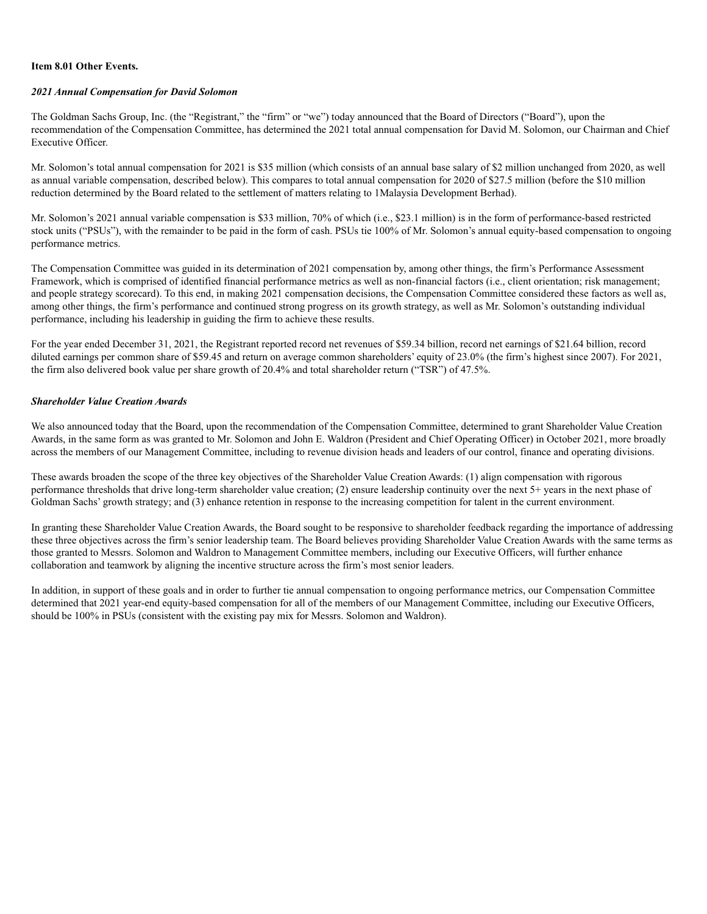#### **Item 8.01 Other Events.**

#### *2021 Annual Compensation for David Solomon*

The Goldman Sachs Group, Inc. (the "Registrant," the "firm" or "we") today announced that the Board of Directors ("Board"), upon the recommendation of the Compensation Committee, has determined the 2021 total annual compensation for David M. Solomon, our Chairman and Chief Executive Officer.

Mr. Solomon's total annual compensation for 2021 is \$35 million (which consists of an annual base salary of \$2 million unchanged from 2020, as well as annual variable compensation, described below). This compares to total annual compensation for 2020 of \$27.5 million (before the \$10 million reduction determined by the Board related to the settlement of matters relating to 1Malaysia Development Berhad).

Mr. Solomon's 2021 annual variable compensation is \$33 million, 70% of which (i.e., \$23.1 million) is in the form of performance-based restricted stock units ("PSUs"), with the remainder to be paid in the form of cash. PSUs tie 100% of Mr. Solomon's annual equity-based compensation to ongoing performance metrics.

The Compensation Committee was guided in its determination of 2021 compensation by, among other things, the firm's Performance Assessment Framework, which is comprised of identified financial performance metrics as well as non-financial factors (i.e., client orientation; risk management; and people strategy scorecard). To this end, in making 2021 compensation decisions, the Compensation Committee considered these factors as well as, among other things, the firm's performance and continued strong progress on its growth strategy, as well as Mr. Solomon's outstanding individual performance, including his leadership in guiding the firm to achieve these results.

For the year ended December 31, 2021, the Registrant reported record net revenues of \$59.34 billion, record net earnings of \$21.64 billion, record diluted earnings per common share of \$59.45 and return on average common shareholders' equity of 23.0% (the firm's highest since 2007). For 2021, the firm also delivered book value per share growth of 20.4% and total shareholder return ("TSR") of 47.5%.

### *Shareholder Value Creation Awards*

We also announced today that the Board, upon the recommendation of the Compensation Committee, determined to grant Shareholder Value Creation Awards, in the same form as was granted to Mr. Solomon and John E. Waldron (President and Chief Operating Officer) in October 2021, more broadly across the members of our Management Committee, including to revenue division heads and leaders of our control, finance and operating divisions.

These awards broaden the scope of the three key objectives of the Shareholder Value Creation Awards: (1) align compensation with rigorous performance thresholds that drive long-term shareholder value creation; (2) ensure leadership continuity over the next 5+ years in the next phase of Goldman Sachs' growth strategy; and (3) enhance retention in response to the increasing competition for talent in the current environment.

In granting these Shareholder Value Creation Awards, the Board sought to be responsive to shareholder feedback regarding the importance of addressing these three objectives across the firm's senior leadership team. The Board believes providing Shareholder Value Creation Awards with the same terms as those granted to Messrs. Solomon and Waldron to Management Committee members, including our Executive Officers, will further enhance collaboration and teamwork by aligning the incentive structure across the firm's most senior leaders.

In addition, in support of these goals and in order to further tie annual compensation to ongoing performance metrics, our Compensation Committee determined that 2021 year-end equity-based compensation for all of the members of our Management Committee, including our Executive Officers, should be 100% in PSUs (consistent with the existing pay mix for Messrs. Solomon and Waldron).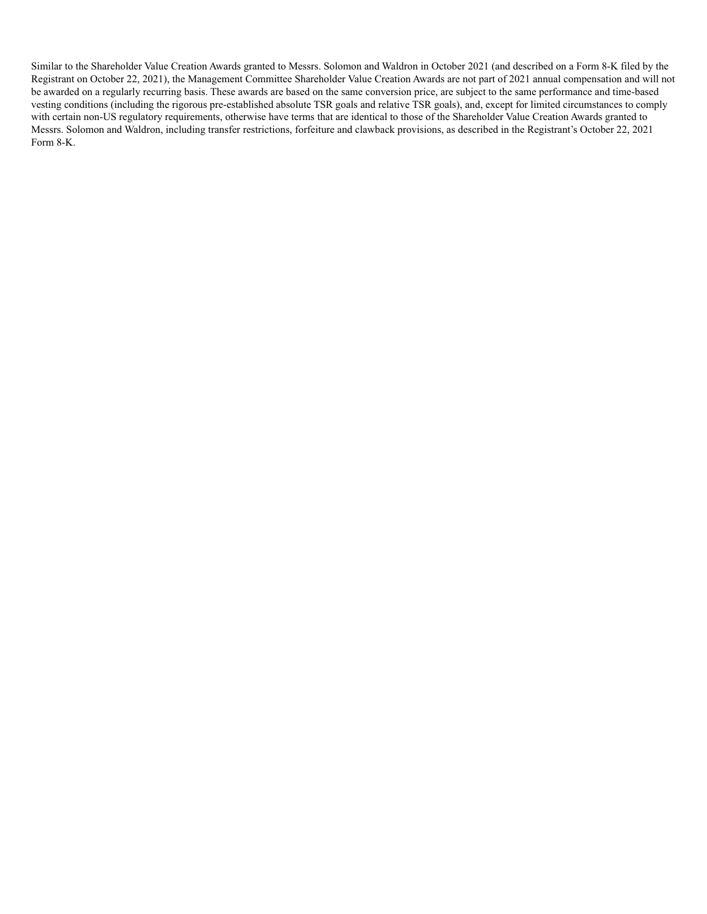Similar to the Shareholder Value Creation Awards granted to Messrs. Solomon and Waldron in October 2021 (and described on a Form 8-K filed by the Registrant on October 22, 2021), the Management Committee Shareholder Value Creation Awards are not part of 2021 annual compensation and will not be awarded on a regularly recurring basis. These awards are based on the same conversion price, are subject to the same performance and time-based vesting conditions (including the rigorous pre-established absolute TSR goals and relative TSR goals), and, except for limited circumstances to comply with certain non-US regulatory requirements, otherwise have terms that are identical to those of the Shareholder Value Creation Awards granted to Messrs. Solomon and Waldron, including transfer restrictions, forfeiture and clawback provisions, as described in the Registrant's October 22, 2021 Form 8-K.